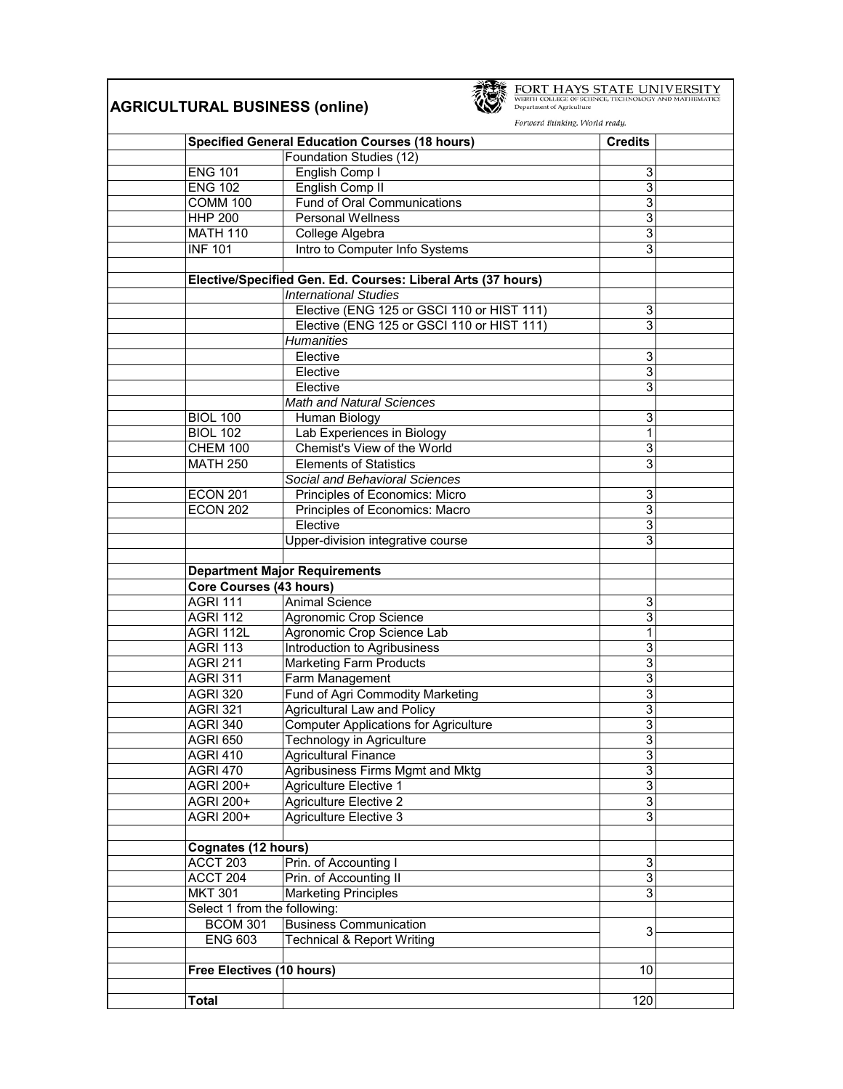|                                | <b>AGRICULTURAL BUSINESS (online)</b>                        | FORT HAYS STATE UNIVERSITY<br>WERTH COLLEGE OF SCIENCE, TECHNOLOGY AND MATHEMATIC<br>Department of Agriculture<br>Forward thinking. World ready. |                |
|--------------------------------|--------------------------------------------------------------|--------------------------------------------------------------------------------------------------------------------------------------------------|----------------|
|                                | <b>Specified General Education Courses (18 hours)</b>        | <b>Credits</b>                                                                                                                                   |                |
|                                | Foundation Studies (12)                                      |                                                                                                                                                  |                |
| <b>ENG 101</b>                 | English Comp I                                               |                                                                                                                                                  | 3              |
| <b>ENG 102</b>                 | English Comp II                                              |                                                                                                                                                  | 3              |
| $COMM$ 100                     | <b>Fund of Oral Communications</b>                           |                                                                                                                                                  | 3              |
| <b>HHP 200</b>                 | <b>Personal Wellness</b>                                     |                                                                                                                                                  | 3              |
| <b>MATH 110</b>                | College Algebra                                              |                                                                                                                                                  | 3              |
| <b>INF 101</b>                 | Intro to Computer Info Systems                               |                                                                                                                                                  | 3              |
|                                | Elective/Specified Gen. Ed. Courses: Liberal Arts (37 hours) |                                                                                                                                                  |                |
|                                | <b>International Studies</b>                                 |                                                                                                                                                  |                |
|                                | Elective (ENG 125 or GSCI 110 or HIST 111)                   |                                                                                                                                                  | 3              |
|                                | Elective (ENG 125 or GSCI 110 or HIST 111)                   |                                                                                                                                                  | 3              |
|                                | <b>Humanities</b>                                            |                                                                                                                                                  |                |
|                                | Elective                                                     |                                                                                                                                                  | 3              |
|                                | Elective                                                     |                                                                                                                                                  | 3              |
|                                | Elective                                                     |                                                                                                                                                  | 3              |
|                                | <b>Math and Natural Sciences</b>                             |                                                                                                                                                  |                |
| <b>BIOL 100</b>                | Human Biology                                                |                                                                                                                                                  | 3              |
| <b>BIOL 102</b>                | Lab Experiences in Biology                                   |                                                                                                                                                  | 1              |
| CHEM 100                       | Chemist's View of the World                                  |                                                                                                                                                  | 3              |
| <b>MATH 250</b>                | <b>Elements of Statistics</b>                                |                                                                                                                                                  | 3              |
|                                | Social and Behavioral Sciences                               |                                                                                                                                                  |                |
| <b>ECON 201</b>                | Principles of Economics: Micro                               |                                                                                                                                                  | 3              |
| <b>ECON 202</b>                | Principles of Economics: Macro                               |                                                                                                                                                  | 3              |
|                                | Elective                                                     |                                                                                                                                                  | 3              |
|                                | Upper-division integrative course                            |                                                                                                                                                  | 3              |
|                                | <b>Department Major Requirements</b>                         |                                                                                                                                                  |                |
| <b>Core Courses (43 hours)</b> |                                                              |                                                                                                                                                  |                |
| <b>AGRI 111</b>                | <b>Animal Science</b>                                        |                                                                                                                                                  | 3              |
| <b>AGRI 112</b>                | Agronomic Crop Science                                       |                                                                                                                                                  | 3              |
| AGRI 112L                      | Agronomic Crop Science Lab                                   |                                                                                                                                                  | 1              |
| <b>AGRI 113</b>                | Introduction to Agribusiness                                 |                                                                                                                                                  | 3              |
| <b>AGRI 211</b>                | <b>Marketing Farm Products</b>                               |                                                                                                                                                  | 3              |
| <b>AGRI 311</b>                | Farm Management                                              |                                                                                                                                                  | 3              |
| <b>AGRI 320</b>                | Fund of Agri Commodity Marketing                             |                                                                                                                                                  | 3              |
| <b>AGRI 321</b>                | Agricultural Law and Policy                                  |                                                                                                                                                  | 3              |
| <b>AGRI 340</b>                | <b>Computer Applications for Agriculture</b>                 |                                                                                                                                                  | 3              |
| <b>AGRI 650</b>                | Technology in Agriculture                                    |                                                                                                                                                  | 3              |
| <b>AGRI 410</b>                | <b>Agricultural Finance</b>                                  |                                                                                                                                                  | 3              |
| <b>AGRI 470</b>                | Agribusiness Firms Mgmt and Mktg                             |                                                                                                                                                  | $\overline{3}$ |
| AGRI 200+                      | Agriculture Elective 1                                       |                                                                                                                                                  | $\overline{3}$ |
| AGRI 200+                      | Agriculture Elective 2                                       |                                                                                                                                                  | 3              |
| AGRI 200+                      | Agriculture Elective 3                                       |                                                                                                                                                  | 3              |
| <b>Cognates (12 hours)</b>     |                                                              |                                                                                                                                                  |                |
| ACCT 203                       | Prin. of Accounting I                                        |                                                                                                                                                  | 3              |
| ACCT 204                       | Prin. of Accounting II                                       |                                                                                                                                                  | $\overline{3}$ |
| <b>MKT 301</b>                 | <b>Marketing Principles</b>                                  |                                                                                                                                                  | $\overline{3}$ |
| Select 1 from the following:   |                                                              |                                                                                                                                                  |                |
| <b>BCOM 301</b>                | <b>Business Communication</b>                                |                                                                                                                                                  |                |
| <b>ENG 603</b>                 | <b>Technical &amp; Report Writing</b>                        |                                                                                                                                                  | 3              |
|                                |                                                              |                                                                                                                                                  |                |
| Free Electives (10 hours)      |                                                              |                                                                                                                                                  | 10             |
|                                |                                                              |                                                                                                                                                  |                |
| <b>Total</b>                   |                                                              | 120                                                                                                                                              |                |